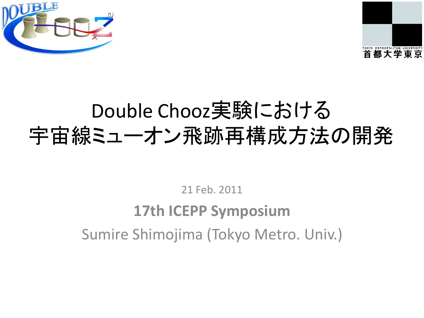



## Double Chooz実験における 宇宙線ミューオン飛跡再構成方法の開発

21 Feb. 2011

## **17th ICEPP Symposium** Sumire Shimojima (Tokyo Metro. Univ.)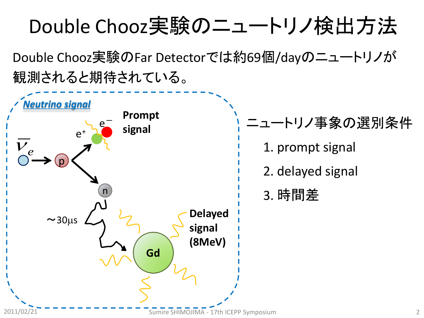## Double Chooz実験のニュートリノ検出方法

Double Chooz実験のFar Detectorでは約69個/dayのニュートリノが 観測されると期待されている。

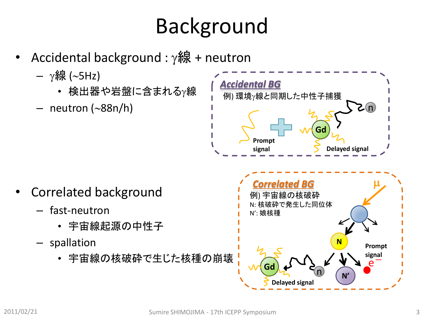## Background

- Accidental background :  $\gamma$ 線 + neutron
	- $-$  γ線 (~5Hz)
		- 検出器や岩盤に含まれるγ線
	- neutron (~88n/h)



- Correlated background
	- fast-neutron
		- 宇宙線起源の中性子
	- spallation
		- 宇宙線の核破砕で生じた核種の崩壊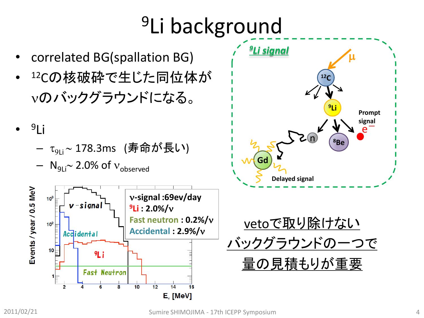# <sup>9</sup>Li background





— τ<sub>9Li</sub>~178.3ms (寿命が長い)







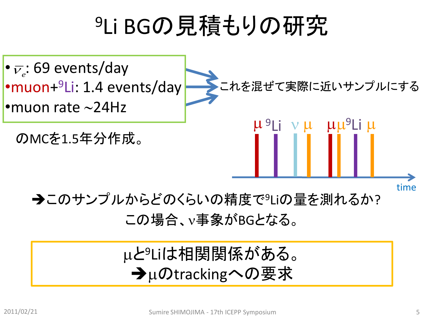# <sup>9</sup>Li BGの見積もりの研究



この場合、事象がBGとなる。

### mと<sup>9</sup>Liは相関関係がある。 →µのtrackingへの要求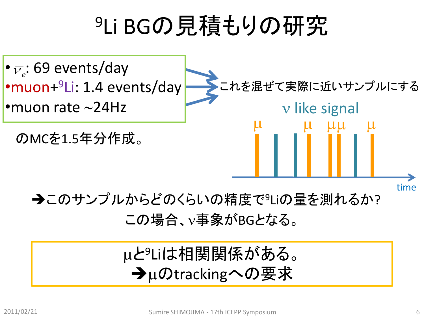# <sup>9</sup>Li BGの見積もりの研究



この場合、事象がBGとなる。

### mと<sup>9</sup>Liは相関関係がある。 →µのtrackingへの要求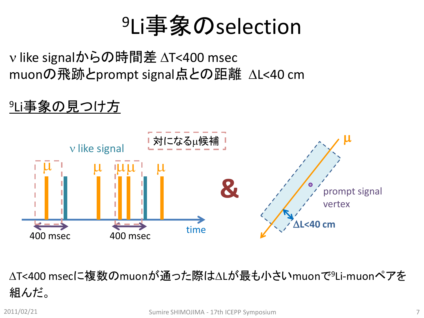# <sup>9</sup>Li事象のselection

v like signalからの時間差 ∆T<400 msec muonの飛跡とprompt signal点との距離 △L<40 cm

### <sup>9</sup>Li事象の見つけ方



△T<400 msecに複数のmuonが通った際は△Lが最も小さいmuonで<sup>9</sup>Li-muonペアを 組んだ。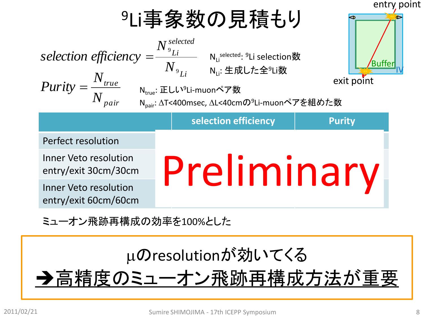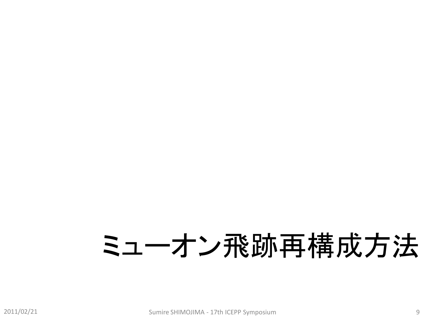# ミューオン飛跡再構成方法

2011/02/21 Sumire SHIMOJIMA - 17th ICEPP Symposium 9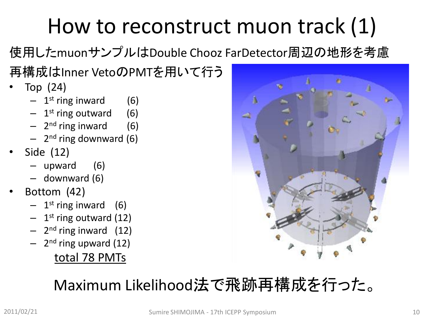# How to reconstruct muon track (1)

使用したmuonサンプルはDouble Chooz FarDetector周辺の地形を考慮

再構成はInner VetoのPMTを用いて行う

- Top (24)
	- 1 st ring inward (6)
	- 1 st ring outward (6)
	- 2<sup>nd</sup> ring inward (6)
	- 2<sup>nd</sup> ring downward (6)
- Side (12)
	- upward (6)
	- downward (6)
- Bottom (42)
	- 1 st ring inward (6)
	- 1<sup>st</sup> ring outward (12)
	- 2<sup>nd</sup> ring inward (12)
	- 2<sup>nd</sup> ring upward (12)

### total 78 PMTs



### Maximum Likelihood法で飛跡再構成を行った。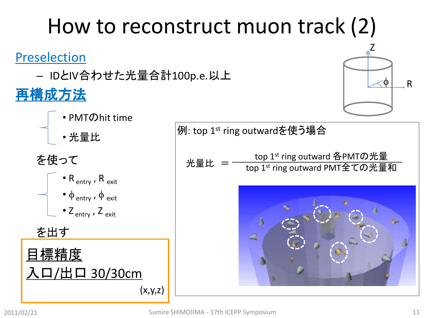# 2011/02/21 Sumire SHIMOJIMA - 17th ICEPP Symposium 11  $(x,y,z)$

## How to reconstruct muon track (2)

例: top 1st ring outwardを使う場合

#### Preselection

– IDとIV合わせた光量合計100p.e.以上

### 再構成方法

### • PMTのhit time

• 光量比

### を使って

を出す





Z f R

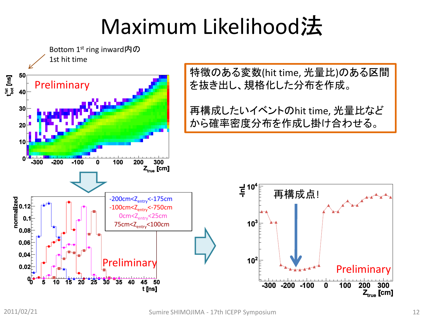# Maximum Likelihood法

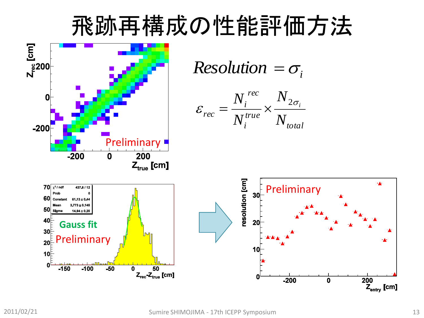## 飛跡再構成の性能評価方法

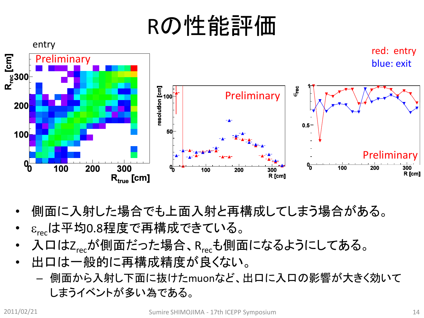# Rの性能評価



- 側面に入射した場合でも上面入射と再構成してしまう場合がある。
- $\varepsilon_{rec}$ は平均0.8程度で再構成できている。
- 入口はZrecが側面だった場合、Rrecも側面になるようにしてある。
- 出口は一般的に再構成精度が良くない。
	- 側面から入射し下面に抜けたmuonなど、出口に入口の影響が大きく効いて しまうイベントが多い為である。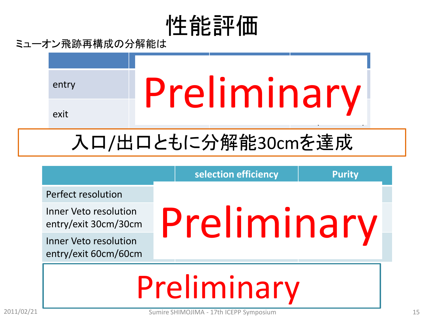# 性能評価

ミューオン飛跡再構成の分解能は



## 入口/出口ともに分解能30cmを達成

Perfect resolution

Inner Veto resolution

Inner Veto resolution entry/exit 60cm/60cm

# entry/exit 30cm/30cm  $P$ r $\rho$  imerican set of  $\gamma$ Preliminary

**selection efficiency**  Purity

### $S_{\text{max}}$ Preliminary